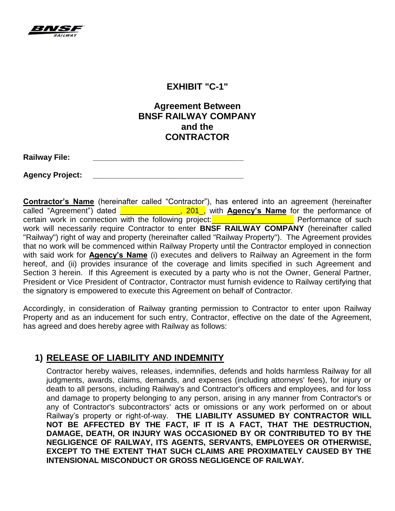

#### **EXHIBIT "C-1"**

### **Agreement Between BNSF RAILWAY COMPANY and the CONTRACTOR**

**Agency Project: \_\_\_\_\_\_\_\_\_\_\_\_\_\_\_\_\_\_\_\_\_\_\_\_\_\_\_\_\_\_\_\_\_\_\_**

**Contractor's Name** (hereinafter called "Contractor"), has entered into an agreement (hereinafter called "Agreement") dated **Letter Letter Letter 1, 201,** with **Agency's Name** for the performance of certain work in connection with the following project: **with the set of such** Performance of such work will necessarily require Contractor to enter **BNSF RAILWAY COMPANY** (hereinafter called "Railway") right of way and property (hereinafter called "Railway Property"). The Agreement provides that no work will be commenced within Railway Property until the Contractor employed in connection with said work for **Agency's Name** (i) executes and delivers to Railway an Agreement in the form hereof, and (ii) provides insurance of the coverage and limits specified in such Agreement and Section 3 herein. If this Agreement is executed by a party who is not the Owner, General Partner, President or Vice President of Contractor, Contractor must furnish evidence to Railway certifying that the signatory is empowered to execute this Agreement on behalf of Contractor.

Accordingly, in consideration of Railway granting permission to Contractor to enter upon Railway Property and as an inducement for such entry, Contractor, effective on the date of the Agreement, has agreed and does hereby agree with Railway as follows:

# **1) RELEASE OF LIABILITY AND INDEMNITY**

Contractor hereby waives, releases, indemnifies, defends and holds harmless Railway for all judgments, awards, claims, demands, and expenses (including attorneys' fees), for injury or death to all persons, including Railway's and Contractor's officers and employees, and for loss and damage to property belonging to any person, arising in any manner from Contractor's or any of Contractor's subcontractors' acts or omissions or any work performed on or about Railway's property or right-of-way. **THE LIABILITY ASSUMED BY CONTRACTOR WILL NOT BE AFFECTED BY THE FACT, IF IT IS A FACT, THAT THE DESTRUCTION, DAMAGE, DEATH, OR INJURY WAS OCCASIONED BY OR CONTRIBUTED TO BY THE NEGLIGENCE OF RAILWAY, ITS AGENTS, SERVANTS, EMPLOYEES OR OTHERWISE, EXCEPT TO THE EXTENT THAT SUCH CLAIMS ARE PROXIMATELY CAUSED BY THE INTENSIONAL MISCONDUCT OR GROSS NEGLIGENCE OF RAILWAY.**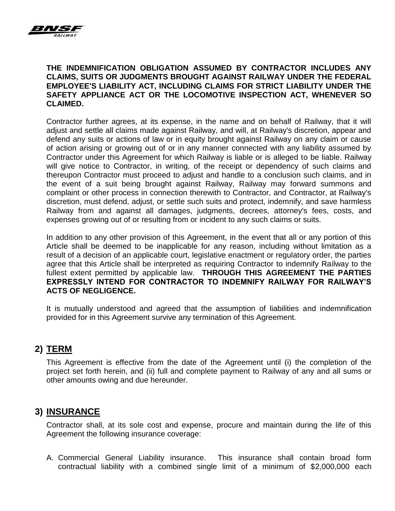

#### **THE INDEMNIFICATION OBLIGATION ASSUMED BY CONTRACTOR INCLUDES ANY CLAIMS, SUITS OR JUDGMENTS BROUGHT AGAINST RAILWAY UNDER THE FEDERAL EMPLOYEE'S LIABILITY ACT, INCLUDING CLAIMS FOR STRICT LIABILITY UNDER THE SAFETY APPLIANCE ACT OR THE LOCOMOTIVE INSPECTION ACT, WHENEVER SO CLAIMED.**

Contractor further agrees, at its expense, in the name and on behalf of Railway, that it will adjust and settle all claims made against Railway, and will, at Railway's discretion, appear and defend any suits or actions of law or in equity brought against Railway on any claim or cause of action arising or growing out of or in any manner connected with any liability assumed by Contractor under this Agreement for which Railway is liable or is alleged to be liable. Railway will give notice to Contractor, in writing, of the receipt or dependency of such claims and thereupon Contractor must proceed to adjust and handle to a conclusion such claims, and in the event of a suit being brought against Railway, Railway may forward summons and complaint or other process in connection therewith to Contractor, and Contractor, at Railway's discretion, must defend, adjust, or settle such suits and protect, indemnify, and save harmless Railway from and against all damages, judgments, decrees, attorney's fees, costs, and expenses growing out of or resulting from or incident to any such claims or suits.

In addition to any other provision of this Agreement, in the event that all or any portion of this Article shall be deemed to be inapplicable for any reason, including without limitation as a result of a decision of an applicable court, legislative enactment or regulatory order, the parties agree that this Article shall be interpreted as requiring Contractor to indemnify Railway to the fullest extent permitted by applicable law. **THROUGH THIS AGREEMENT THE PARTIES EXPRESSLY INTEND FOR CONTRACTOR TO INDEMNIFY RAILWAY FOR RAILWAY'S ACTS OF NEGLIGENCE.** 

It is mutually understood and agreed that the assumption of liabilities and indemnification provided for in this Agreement survive any termination of this Agreement.

## **2) TERM**

This Agreement is effective from the date of the Agreement until (i) the completion of the project set forth herein, and (ii) full and complete payment to Railway of any and all sums or other amounts owing and due hereunder.

## **3) INSURANCE**

Contractor shall, at its sole cost and expense, procure and maintain during the life of this Agreement the following insurance coverage:

A. Commercial General Liability insurance. This insurance shall contain broad form contractual liability with a combined single limit of a minimum of \$2,000,000 each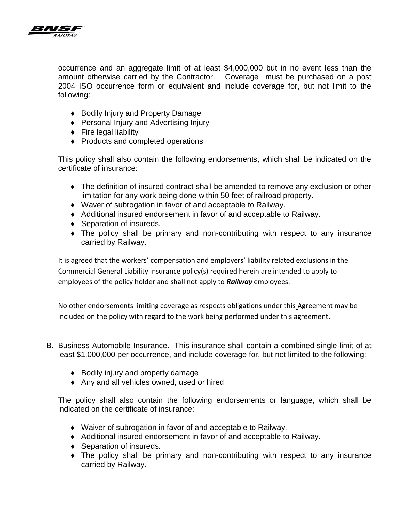

occurrence and an aggregate limit of at least \$4,000,000 but in no event less than the amount otherwise carried by the Contractor. Coverage must be purchased on a post 2004 ISO occurrence form or equivalent and include coverage for, but not limit to the following:

- ◆ Bodily Injury and Property Damage
- ◆ Personal Injury and Advertising Injury
- $\leftarrow$  Fire legal liability
- Products and completed operations

This policy shall also contain the following endorsements, which shall be indicated on the certificate of insurance:

- The definition of insured contract shall be amended to remove any exclusion or other limitation for any work being done within 50 feet of railroad property.
- Waver of subrogation in favor of and acceptable to Railway.
- Additional insured endorsement in favor of and acceptable to Railway.
- ◆ Separation of insureds.
- The policy shall be primary and non-contributing with respect to any insurance carried by Railway.

It is agreed that the workers' compensation and employers' liability related exclusions in the Commercial General Liability insurance policy(s) required herein are intended to apply to employees of the policy holder and shall not apply to *Railway* employees.

No other endorsements limiting coverage as respects obligations under this Agreement may be included on the policy with regard to the work being performed under this agreement.

- B. Business Automobile Insurance. This insurance shall contain a combined single limit of at least \$1,000,000 per occurrence, and include coverage for, but not limited to the following:
	- ◆ Bodily injury and property damage
	- ◆ Any and all vehicles owned, used or hired

The policy shall also contain the following endorsements or language, which shall be indicated on the certificate of insurance:

- Waiver of subrogation in favor of and acceptable to Railway.
- Additional insured endorsement in favor of and acceptable to Railway.
- ◆ Separation of insureds.
- The policy shall be primary and non-contributing with respect to any insurance carried by Railway.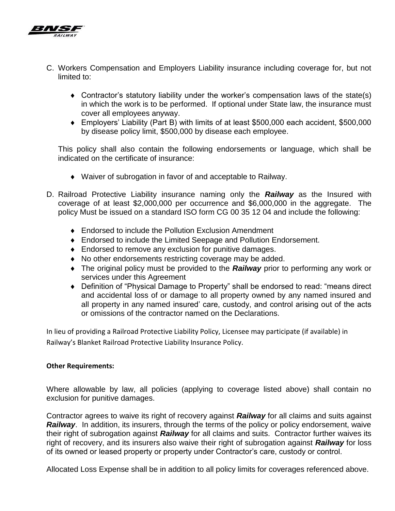

- C. Workers Compensation and Employers Liability insurance including coverage for, but not limited to:
	- Contractor's statutory liability under the worker's compensation laws of the state(s) in which the work is to be performed. If optional under State law, the insurance must cover all employees anyway.
	- Employers' Liability (Part B) with limits of at least \$500,000 each accident, \$500,000 by disease policy limit, \$500,000 by disease each employee.

This policy shall also contain the following endorsements or language, which shall be indicated on the certificate of insurance:

- Waiver of subrogation in favor of and acceptable to Railway.
- D. Railroad Protective Liability insurance naming only the *Railway* as the Insured with coverage of at least \$2,000,000 per occurrence and \$6,000,000 in the aggregate. The policy Must be issued on a standard ISO form CG 00 35 12 04 and include the following:
	- Endorsed to include the Pollution Exclusion Amendment
	- Endorsed to include the Limited Seepage and Pollution Endorsement.
	- Endorsed to remove any exclusion for punitive damages.
	- No other endorsements restricting coverage may be added.
	- The original policy must be provided to the *Railway* prior to performing any work or services under this Agreement
	- Definition of "Physical Damage to Property" shall be endorsed to read: "means direct and accidental loss of or damage to all property owned by any named insured and all property in any named insured' care, custody, and control arising out of the acts or omissions of the contractor named on the Declarations.

In lieu of providing a Railroad Protective Liability Policy, Licensee may participate (if available) in Railway's Blanket Railroad Protective Liability Insurance Policy.

#### **Other Requirements:**

Where allowable by law, all policies (applying to coverage listed above) shall contain no exclusion for punitive damages.

Contractor agrees to waive its right of recovery against *Railway* for all claims and suits against **Railway**. In addition, its insurers, through the terms of the policy or policy endorsement, waive their right of subrogation against *Railway* for all claims and suits. Contractor further waives its right of recovery, and its insurers also waive their right of subrogation against *Railway* for loss of its owned or leased property or property under Contractor's care, custody or control.

Allocated Loss Expense shall be in addition to all policy limits for coverages referenced above.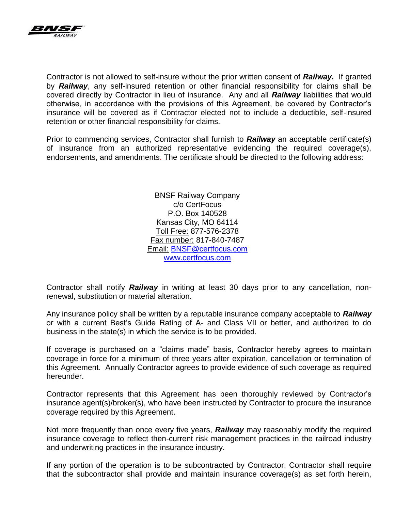

Contractor is not allowed to self-insure without the prior written consent of *Railway.* If granted by *Railway*, any self-insured retention or other financial responsibility for claims shall be covered directly by Contractor in lieu of insurance. Any and all *Railway* liabilities that would otherwise, in accordance with the provisions of this Agreement, be covered by Contractor's insurance will be covered as if Contractor elected not to include a deductible, self-insured retention or other financial responsibility for claims.

Prior to commencing services, Contractor shall furnish to *Railway* an acceptable certificate(s) of insurance from an authorized representative evidencing the required coverage(s), endorsements, and amendments. The certificate should be directed to the following address:

> BNSF Railway Company c/o CertFocus P.O. Box 140528 Kansas City, MO 64114 Toll Free: 877-576-2378 Fax number: 817-840-7487 Email: [BNSF@certfocus.com](mailto:BNSF@certfocus.com) [www.certfocus.com](http://www.certfocus.com/)

Contractor shall notify *Railway* in writing at least 30 days prior to any cancellation, nonrenewal, substitution or material alteration.

Any insurance policy shall be written by a reputable insurance company acceptable to *Railway* or with a current Best's Guide Rating of A- and Class VII or better, and authorized to do business in the state(s) in which the service is to be provided.

If coverage is purchased on a "claims made" basis, Contractor hereby agrees to maintain coverage in force for a minimum of three years after expiration, cancellation or termination of this Agreement. Annually Contractor agrees to provide evidence of such coverage as required hereunder.

Contractor represents that this Agreement has been thoroughly reviewed by Contractor's insurance agent(s)/broker(s), who have been instructed by Contractor to procure the insurance coverage required by this Agreement.

Not more frequently than once every five years, *Railway* may reasonably modify the required insurance coverage to reflect then-current risk management practices in the railroad industry and underwriting practices in the insurance industry.

If any portion of the operation is to be subcontracted by Contractor, Contractor shall require that the subcontractor shall provide and maintain insurance coverage(s) as set forth herein,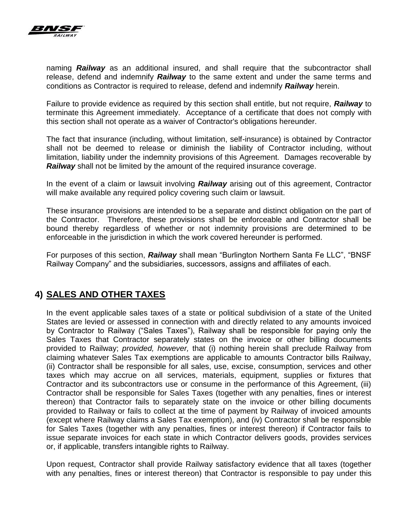

naming *Railway* as an additional insured, and shall require that the subcontractor shall release, defend and indemnify *Railway* to the same extent and under the same terms and conditions as Contractor is required to release, defend and indemnify *Railway* herein.

Failure to provide evidence as required by this section shall entitle, but not require, *Railway* to terminate this Agreement immediately. Acceptance of a certificate that does not comply with this section shall not operate as a waiver of Contractor's obligations hereunder.

The fact that insurance (including, without limitation, self-insurance) is obtained by Contractor shall not be deemed to release or diminish the liability of Contractor including, without limitation, liability under the indemnity provisions of this Agreement. Damages recoverable by *Railway* shall not be limited by the amount of the required insurance coverage.

In the event of a claim or lawsuit involving *Railway* arising out of this agreement, Contractor will make available any required policy covering such claim or lawsuit.

These insurance provisions are intended to be a separate and distinct obligation on the part of the Contractor. Therefore, these provisions shall be enforceable and Contractor shall be bound thereby regardless of whether or not indemnity provisions are determined to be enforceable in the jurisdiction in which the work covered hereunder is performed.

For purposes of this section, *Railway* shall mean "Burlington Northern Santa Fe LLC", "BNSF Railway Company" and the subsidiaries, successors, assigns and affiliates of each.

## **4) SALES AND OTHER TAXES**

In the event applicable sales taxes of a state or political subdivision of a state of the United States are levied or assessed in connection with and directly related to any amounts invoiced by Contractor to Railway ("Sales Taxes"), Railway shall be responsible for paying only the Sales Taxes that Contractor separately states on the invoice or other billing documents provided to Railway; *provided, however,* that (i) nothing herein shall preclude Railway from claiming whatever Sales Tax exemptions are applicable to amounts Contractor bills Railway, (ii) Contractor shall be responsible for all sales, use, excise, consumption, services and other taxes which may accrue on all services, materials, equipment, supplies or fixtures that Contractor and its subcontractors use or consume in the performance of this Agreement, (iii) Contractor shall be responsible for Sales Taxes (together with any penalties, fines or interest thereon) that Contractor fails to separately state on the invoice or other billing documents provided to Railway or fails to collect at the time of payment by Railway of invoiced amounts (except where Railway claims a Sales Tax exemption), and (iv) Contractor shall be responsible for Sales Taxes (together with any penalties, fines or interest thereon) if Contractor fails to issue separate invoices for each state in which Contractor delivers goods, provides services or, if applicable, transfers intangible rights to Railway.

Upon request, Contractor shall provide Railway satisfactory evidence that all taxes (together with any penalties, fines or interest thereon) that Contractor is responsible to pay under this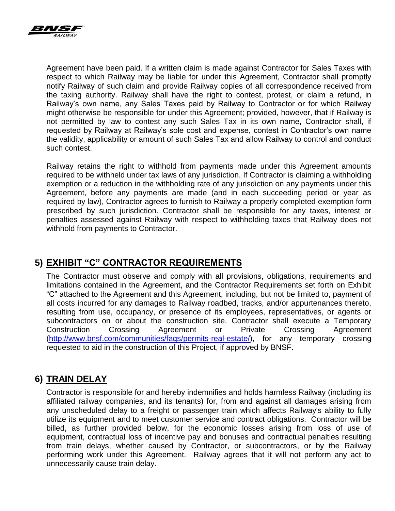

Agreement have been paid. If a written claim is made against Contractor for Sales Taxes with respect to which Railway may be liable for under this Agreement, Contractor shall promptly notify Railway of such claim and provide Railway copies of all correspondence received from the taxing authority. Railway shall have the right to contest, protest, or claim a refund, in Railway's own name, any Sales Taxes paid by Railway to Contractor or for which Railway might otherwise be responsible for under this Agreement; provided, however, that if Railway is not permitted by law to contest any such Sales Tax in its own name, Contractor shall, if requested by Railway at Railway's sole cost and expense, contest in Contractor's own name the validity, applicability or amount of such Sales Tax and allow Railway to control and conduct such contest.

Railway retains the right to withhold from payments made under this Agreement amounts required to be withheld under tax laws of any jurisdiction. If Contractor is claiming a withholding exemption or a reduction in the withholding rate of any jurisdiction on any payments under this Agreement, before any payments are made (and in each succeeding period or year as required by law), Contractor agrees to furnish to Railway a properly completed exemption form prescribed by such jurisdiction. Contractor shall be responsible for any taxes, interest or penalties assessed against Railway with respect to withholding taxes that Railway does not withhold from payments to Contractor.

## **5) EXHIBIT "C" CONTRACTOR REQUIREMENTS**

The Contractor must observe and comply with all provisions, obligations, requirements and limitations contained in the Agreement, and the Contractor Requirements set forth on Exhibit "C" attached to the Agreement and this Agreement, including, but not be limited to, payment of all costs incurred for any damages to Railway roadbed, tracks, and/or appurtenances thereto, resulting from use, occupancy, or presence of its employees, representatives, or agents or subcontractors on or about the construction site. Contractor shall execute a Temporary Construction Crossing Agreement or Private Crossing Agreement [\(http://www.bnsf.com/communities/faqs/permits-real-estate/\)](http://www.bnsf.com/communities/faqs/permits-real-estate/), for any temporary crossing requested to aid in the construction of this Project, if approved by BNSF.

# **6) TRAIN DELAY**

Contractor is responsible for and hereby indemnifies and holds harmless Railway (including its affiliated railway companies, and its tenants) for, from and against all damages arising from any unscheduled delay to a freight or passenger train which affects Railway's ability to fully utilize its equipment and to meet customer service and contract obligations. Contractor will be billed, as further provided below, for the economic losses arising from loss of use of equipment, contractual loss of incentive pay and bonuses and contractual penalties resulting from train delays, whether caused by Contractor, or subcontractors, or by the Railway performing work under this Agreement. Railway agrees that it will not perform any act to unnecessarily cause train delay.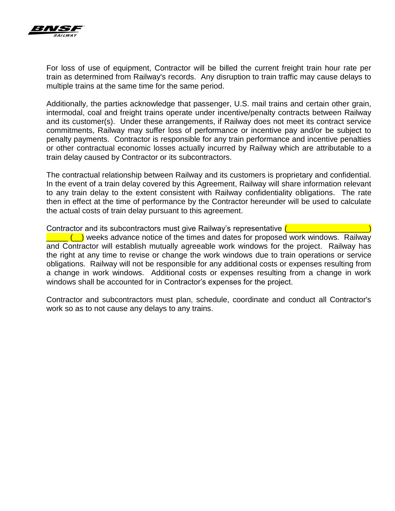

For loss of use of equipment, Contractor will be billed the current freight train hour rate per train as determined from Railway's records. Any disruption to train traffic may cause delays to multiple trains at the same time for the same period.

Additionally, the parties acknowledge that passenger, U.S. mail trains and certain other grain, intermodal, coal and freight trains operate under incentive/penalty contracts between Railway and its customer(s). Under these arrangements, if Railway does not meet its contract service commitments, Railway may suffer loss of performance or incentive pay and/or be subject to penalty payments. Contractor is responsible for any train performance and incentive penalties or other contractual economic losses actually incurred by Railway which are attributable to a train delay caused by Contractor or its subcontractors.

The contractual relationship between Railway and its customers is proprietary and confidential. In the event of a train delay covered by this Agreement, Railway will share information relevant to any train delay to the extent consistent with Railway confidentiality obligations. The rate then in effect at the time of performance by the Contractor hereunder will be used to calculate the actual costs of train delay pursuant to this agreement.

Contractor and its subcontractors must give Railway's representative ( \_\_\_\_\_ (\_\_) weeks advance notice of the times and dates for proposed work windows. Railway and Contractor will establish mutually agreeable work windows for the project. Railway has the right at any time to revise or change the work windows due to train operations or service obligations. Railway will not be responsible for any additional costs or expenses resulting from a change in work windows. Additional costs or expenses resulting from a change in work windows shall be accounted for in Contractor's expenses for the project.

Contractor and subcontractors must plan, schedule, coordinate and conduct all Contractor's work so as to not cause any delays to any trains.